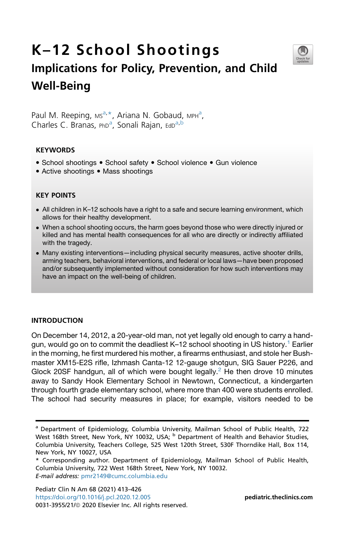

# K–12 School Shootings Implications for Policy, Prevention, and Child Well-Being

P[a](#page-0-0)ul M. Reeping, Ms<sup>a,\*</sup>, Ariana N. Gobaud, MPH<sup>a</sup>, Ch[a](#page-0-0)rles C. Branas, PhD<sup>a</sup>, Sonali Rajan, EdD<sup>a,[b](#page-0-2)</sup>

#### **KEYWORDS**

- School shootings School safety School violence Gun violence
- Active shootings Mass shootings

#### KEY POINTS

- All children in K–12 schools have a right to a safe and secure learning environment, which allows for their healthy development.
- When a school shooting occurs, the harm goes beyond those who were directly injured or killed and has mental health consequences for all who are directly or indirectly affiliated with the tragedy.
- Many existing interventions—including physical security measures, active shooter drills, arming teachers, behavioral interventions, and federal or local laws—have been proposed and/or subsequently implemented without consideration for how such interventions may have an impact on the well-being of children.

#### INTRODUCTION

On December 14, 2012, a 20-year-old man, not yet legally old enough to carry a hand-gun, would go on to commit the deadliest K–[1](#page-9-0)2 school shooting in US history.<sup>1</sup> Earlier in the morning, he first murdered his mother, a firearms enthusiast, and stole her Bushmaster XM15-E2S rifle, Izhmash Canta-12 12-gauge shotgun, SIG Sauer P226, and Glock [2](#page-9-1)0SF handgun, all of which were bought legally.<sup>2</sup> He then drove 10 minutes away to Sandy Hook Elementary School in Newtown, Connecticut, a kindergarten through fourth grade elementary school, where more than 400 were students enrolled. The school had security measures in place; for example, visitors needed to be

<span id="page-0-2"></span><span id="page-0-0"></span><sup>&</sup>lt;sup>a</sup> Department of Epidemiology, Columbia University, Mailman School of Public Health, 722 West 168th Street, New York, NY 10032, USA; <sup>b</sup> Department of Health and Behavior Studies, Columbia University, Teachers College, 525 West 120th Street, 530F Thorndike Hall, Box 114, New York, NY 10027, USA

<span id="page-0-1"></span><sup>\*</sup> Corresponding author. Department of Epidemiology, Mailman School of Public Health, Columbia University, 722 West 168th Street, New York, NY 10032. E-mail address: [pmr2149@cumc.columbia.edu](mailto:pmr2149@cumc.columbia.edu)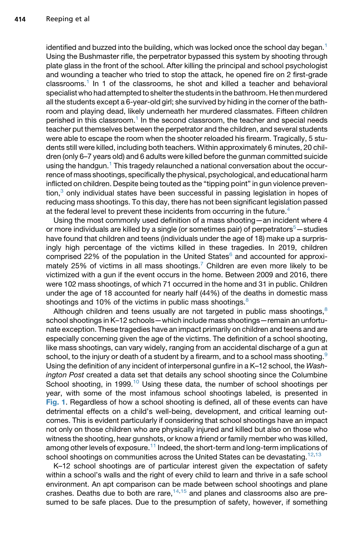identified and buzzed into the building, which was locked once the school day began. $1$ Using the Bushmaster rifle, the perpetrator bypassed this system by shooting through plate glass in the front of the school. After killing the principal and school psychologist and wounding a teacher who tried to stop the attack, he opened fire on 2 first-grade classrooms.<sup>[1](#page-9-0)</sup> In 1 of the classrooms, he shot and killed a teacher and behavioral specialist who had attempted to shelter the students in the bathroom. He then murdered all the students except a 6-year-old girl; she survived by hiding in the corner of the bathroom and playing dead, likely underneath her murdered classmates. Fifteen children perished in this classroom.<sup>1</sup> In the second classroom, the teacher and special needs teacher put themselves between the perpetrator and the children, and several students were able to escape the room when the shooter reloaded his firearm. Tragically, 5 students still were killed, including both teachers. Within approximately 6 minutes, 20 children (only 6–7 years old) and 6 adults were killed before the gunman committed suicide using the handgun.<sup>1</sup> This tragedy relaunched a national conversation about the occurrence of mass shootings, specifically the physical, psychological, and educational harm inflicted on children. Despite being touted as the "tipping point" in gun violence preven $t$ ion, $3$  only individual states have been successful in passing legislation in hopes of reducing mass shootings. To this day, there has not been significant legislation passed at the federal level to prevent these incidents from occurring in the future.<sup>4</sup>

Using the most commonly used definition of a mass shooting—an incident where 4 or more individuals are killed by a single (or sometimes pair) of perpetrators<sup>[5](#page-9-4)</sup>-studies have found that children and teens (individuals under the age of 18) make up a surprisingly high percentage of the victims killed in these tragedies. In 2019, children comprised 22% of the population in the United States $6$  and accounted for approxi-mately 25% of victims in all mass shootings.<sup>[7](#page-9-6)</sup> Children are even more likely to be victimized with a gun if the event occurs in the home. Between 2009 and 2016, there were 102 mass shootings, of which 71 occurred in the home and 31 in public. Children under the age of 18 accounted for nearly half (44%) of the deaths in domestic mass shootings and 10% of the victims in public mass shootings. $8$ 

Although children and teens usually are not targeted in public mass shootings, $8$ school shootings in K–12 schools—which include mass shootings—remain an unfortunate exception. These tragedies have an impact primarily on children and teens and are especially concerning given the age of the victims. The definition of a school shooting, like mass shootings, can vary widely, ranging from an accidental discharge of a gun at school, to the injury or death of a student by a firearm, and to a school mass shooting.<sup>[9](#page-10-1)</sup> Using the definition of any incident of interpersonal gunfire in a K–12 school, the *Washington Post* created a data set that details any school shooting since the Columbine School shooting, in 1999.<sup>[10](#page-10-2)</sup> Using these data, the number of school shootings per year, with some of the most infamous school shootings labeled, is presented in [Fig. 1](#page-2-0). Regardless of how a school shooting is defined, all of these events can have detrimental effects on a child's well-being, development, and critical learning outcomes. This is evident particularly if considering that school shootings have an impact not only on those children who are physically injured and killed but also on those who witness the shooting, hear gunshots, or know a friend or family member who was killed, among other levels of exposure.<sup>[11](#page-10-3)</sup> Indeed, the short-term and long-term implications of school shootings on communities across the United States can be devastating.<sup>[12](#page-10-4)[,13](#page-10-5)</sup>

K–12 school shootings are of particular interest given the expectation of safety within a school's walls and the right of every child to learn and thrive in a safe school environment. An apt comparison can be made between school shootings and plane crashes. Deaths due to both are rare,  $14,15$  $14,15$  and planes and classrooms also are presumed to be safe places. Due to the presumption of safety, however, if something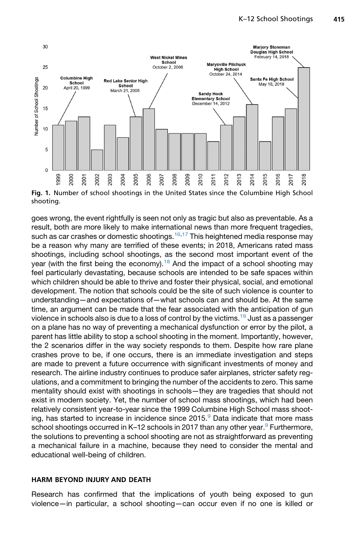<span id="page-2-0"></span>

shooting.

goes wrong, the event rightfully is seen not only as tragic but also as preventable. As a result, both are more likely to make international news than more frequent tragedies, such as car crashes or domestic shootings.<sup>[16](#page-10-8)[,17](#page-10-9)</sup> This heightened media response may be a reason why many are terrified of these events; in 2018, Americans rated mass shootings, including school shootings, as the second most important event of the year (with the first being the economy).<sup>18</sup> And the impact of a school shooting may feel particularly devastating, because schools are intended to be safe spaces within which children should be able to thrive and foster their physical, social, and emotional development. The notion that schools could be the site of such violence is counter to understanding—and expectations of—what schools can and should be. At the same time, an argument can be made that the fear associated with the anticipation of gun violence in schools also is due to a loss of control by the victims.<sup>[19](#page-10-11)</sup> Just as a passenger on a plane has no way of preventing a mechanical dysfunction or error by the pilot, a parent has little ability to stop a school shooting in the moment. Importantly, however, the 2 scenarios differ in the way society responds to them. Despite how rare plane crashes prove to be, if one occurs, there is an immediate investigation and steps are made to prevent a future occurrence with significant investments of money and research. The airline industry continues to produce safer airplanes, stricter safety regulations, and a commitment to bringing the number of the accidents to zero. This same mentality should exist with shootings in schools—they are tragedies that should not exist in modern society. Yet, the number of school mass shootings, which had been relatively consistent year-to-year since the 1999 Columbine High School mass shoot-ing, has started to increase in incidence since 2015.<sup>[9](#page-10-1)</sup> Data indicate that more mass school shootings occurred in K–12 schools in 2017 than any other year.<sup>[9](#page-10-1)</sup> Furthermore, the solutions to preventing a school shooting are not as straightforward as preventing a mechanical failure in a machine, because they need to consider the mental and educational well-being of children.

#### HARM BEYOND INJURY AND DEATH

Research has confirmed that the implications of youth being exposed to gun violence—in particular, a school shooting—can occur even if no one is killed or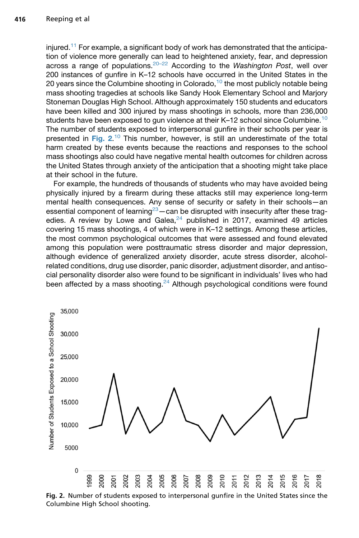injured.<sup>[11](#page-10-3)</sup> For example, a significant body of work has demonstrated that the anticipation of violence more generally can lead to heightened anxiety, fear, and depression across a range of populations.[20–22](#page-10-12) According to the *Washington Post*, well over 200 instances of gunfire in K–12 schools have occurred in the United States in the 20 years since the Columbine shooting in Colorado, $10$  the most publicly notable being mass shooting tragedies at schools like Sandy Hook Elementary School and Marjory Stoneman Douglas High School. Although approximately 150 students and educators have been killed and 300 injured by mass shootings in schools, more than 236,000 students have been exposed to gun violence at their K-12 school since Columbine.<sup>[10](#page-10-2)</sup> The number of students exposed to interpersonal gunfire in their schools per year is presented in [Fig. 2](#page-3-0).<sup>[10](#page-10-2)</sup> This number, however, is still an underestimate of the total<br>harm created by these events because the reactions and responses to the school harm created by these events because the reactions and responses to the school mass shootings also could have negative mental health outcomes for children across the United States through anxiety of the anticipation that a shooting might take place at their school in the future.

For example, the hundreds of thousands of students who may have avoided being physically injured by a firearm during these attacks still may experience long-term mental health consequences. Any sense of security or safety in their schools—an essential component of learning<sup>23</sup> — can be disrupted with insecurity after these tragedies. A review by Lowe and Galea, $24$  published in 2017, examined 49 articles covering 15 mass shootings, 4 of which were in K–12 settings. Among these articles, the most common psychological outcomes that were assessed and found elevated among this population were posttraumatic stress disorder and major depression, although evidence of generalized anxiety disorder, acute stress disorder, alcoholrelated conditions, drug use disorder, panic disorder, adjustment disorder, and antisocial personality disorder also were found to be significant in individuals' lives who had been affected by a mass shooting. $24$  Although psychological conditions were found

<span id="page-3-0"></span>

Fig. 2. Number of students exposed to interpersonal gunfire in the United States since the Columbine High School shooting.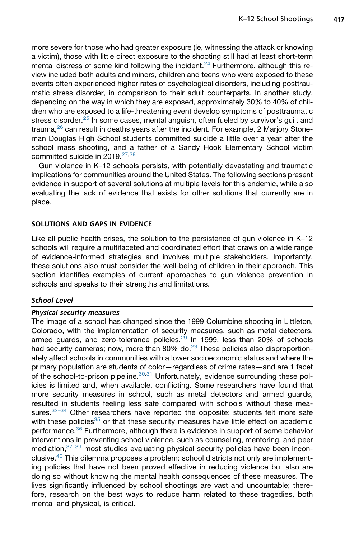more severe for those who had greater exposure (ie, witnessing the attack or knowing a victim), those with little direct exposure to the shooting still had at least short-term mental distress of some kind following the incident.<sup>[24](#page-10-14)</sup> Furthermore, although this review included both adults and minors, children and teens who were exposed to these events often experienced higher rates of psychological disorders, including posttraumatic stress disorder, in comparison to their adult counterparts. In another study, depending on the way in which they are exposed, approximately 30% to 40% of children who are exposed to a life-threatening event develop symptoms of posttraumatic stress disorder.<sup>[25](#page-10-15)</sup> In some cases, mental anguish, often fueled by survivor's guilt and trauma, $26$  can result in deaths years after the incident. For example, 2 Marjory Stoneman Douglas High School students committed suicide a little over a year after the school mass shooting, and a father of a Sandy Hook Elementary School victim committed suicide in 2019.<sup>[27](#page-11-0),[28](#page-11-1)</sup>

Gun violence in K–12 schools persists, with potentially devastating and traumatic implications for communities around the United States. The following sections present evidence in support of several solutions at multiple levels for this endemic, while also evaluating the lack of evidence that exists for other solutions that currently are in place.

## SOLUTIONS AND GAPS IN EVIDENCE

Like all public health crises, the solution to the persistence of gun violence in K–12 schools will require a multifaceted and coordinated effort that draws on a wide range of evidence-informed strategies and involves multiple stakeholders. Importantly, these solutions also must consider the well-being of children in their approach. This section identifies examples of current approaches to gun violence prevention in schools and speaks to their strengths and limitations.

#### School Level

## Physical security measures

The image of a school has changed since the 1999 Columbine shooting in Littleton, Colorado, with the implementation of security measures, such as metal detectors, armed guards, and zero-tolerance policies. $^{29}$  $^{29}$  $^{29}$  In 1999, less than 20% of schools had security cameras; now, more than 80% do. $^{29}$  $^{29}$  $^{29}$  These policies also disproportionately affect schools in communities with a lower socioeconomic status and where the primary population are students of color—regardless of crime rates—and are 1 facet of the school-to-prison pipeline. $30,31$  $30,31$  Unfortunately, evidence surrounding these policies is limited and, when available, conflicting. Some researchers have found that more security measures in school, such as metal detectors and armed guards, resulted in students feeling less safe compared with schools without these measures.<sup>32-34</sup> Other researchers have reported the opposite: students felt more safe with these policies $35$  or that these security measures have little effect on academic performance.<sup>[36](#page-11-7)</sup> Furthermore, although there is evidence in support of some behavior interventions in preventing school violence, such as counseling, mentoring, and peer mediation, [37–39](#page-11-8) most studies evaluating physical security policies have been inconclusive.[40](#page-11-9) This dilemma proposes a problem: school districts not only are implementing policies that have not been proved effective in reducing violence but also are doing so without knowing the mental health consequences of these measures. The lives significantly influenced by school shootings are vast and uncountable; therefore, research on the best ways to reduce harm related to these tragedies, both mental and physical, is critical.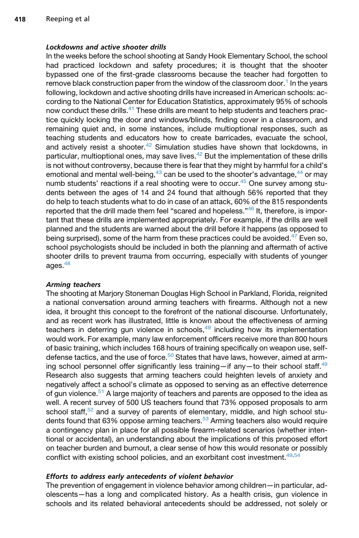## Lockdowns and active shooter drills

In the weeks before the school shooting at Sandy Hook Elementary School, the school had practiced lockdown and safety procedures; it is thought that the shooter bypassed one of the first-grade classrooms because the teacher had forgotten to remove black construction paper from the window of the classroom door.<sup>[1](#page-9-0)</sup> In the years following, lockdown and active shooting drills have increased in American schools: according to the National Center for Education Statistics, approximately 95% of schools now conduct these drills.<sup>41</sup> These drills are meant to help students and teachers practice quickly locking the door and windows/blinds, finding cover in a classroom, and remaining quiet and, in some instances, include multioptional responses, such as teaching students and educators how to create barricades, evacuate the school, and actively resist a shooter.<sup>42</sup> Simulation studies have shown that lockdowns, in particular, multioptional ones, may save lives. $42$  But the implementation of these drills is not without controversy, because there is fear that they might by harmful for a child's emotional and mental well-being, $43$  can be used to the shooter's advantage, $44$  or may numb students' reactions if a real shooting were to occur.<sup>[45](#page-11-14)</sup> One survey among students between the ages of 14 and 24 found that although 56% reported that they do help to teach students what to do in case of an attack, 60% of the 815 respondents reported that the drill made them feel "scared and hopeless."<sup>[46](#page-12-0)</sup> It, therefore, is important that these drills are implemented appropriately. For example, if the drills are well planned and the students are warned about the drill before it happens (as opposed to being surprised), some of the harm from these practices could be avoided.<sup>[47](#page-12-1)</sup> Even so, school psychologists should be included in both the planning and aftermath of active shooter drills to prevent trauma from occurring, especially with students of younger ages. $48$ 

#### Arming teachers

The shooting at Marjory Stoneman Douglas High School in Parkland, Florida, reignited a national conversation around arming teachers with firearms. Although not a new idea, it brought this concept to the forefront of the national discourse. Unfortunately, and as recent work has illustrated, little is known about the effectiveness of arming teachers in deterring gun violence in schools, $49$  including how its implementation would work. For example, many law enforcement officers receive more than 800 hours of basic training, which includes 168 hours of training specifically on weapon use, self-defense tactics, and the use of force.<sup>[50](#page-12-4)</sup> States that have laws, however, aimed at arming school personnel offer significantly less training—if any—to their school staff. $49$ Research also suggests that arming teachers could heighten levels of anxiety and negatively affect a school's climate as opposed to serving as an effective deterrence of gun violence.<sup>[51](#page-12-5)</sup> A large majority of teachers and parents are opposed to the idea as well. A recent survey of 500 US teachers found that 73% opposed proposals to arm school staff,  $52$  and a survey of parents of elementary, middle, and high school stu-dents found that 63% oppose arming teachers.<sup>[53](#page-12-7)</sup> Arming teachers also would require a contingency plan in place for all possible firearm-related scenarios (whether intentional or accidental), an understanding about the implications of this proposed effort on teacher burden and burnout, a clear sense of how this would resonate or possibly conflict with existing school policies, and an exorbitant cost investment.<sup>[49](#page-12-3),[54](#page-12-8)</sup>

#### Efforts to address early antecedents of violent behavior

The prevention of engagement in violence behavior among children—in particular, adolescents—has a long and complicated history. As a health crisis, gun violence in schools and its related behavioral antecedents should be addressed, not solely or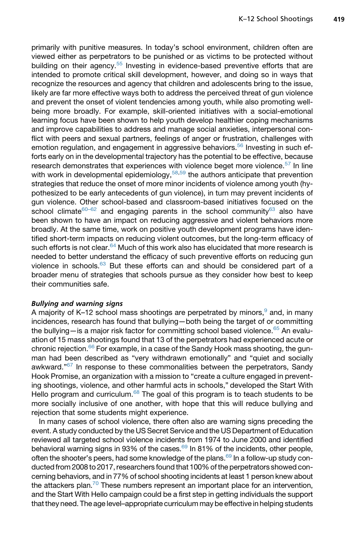primarily with punitive measures. In today's school environment, children often are viewed either as perpetrators to be punished or as victims to be protected without building on their agency.[55](#page-12-9) Investing in evidence-based preventive efforts that are intended to promote critical skill development, however, and doing so in ways that recognize the resources and agency that children and adolescents bring to the issue, likely are far more effective ways both to address the perceived threat of gun violence and prevent the onset of violent tendencies among youth, while also promoting wellbeing more broadly. For example, skill-oriented initiatives with a social-emotional learning focus have been shown to help youth develop healthier coping mechanisms and improve capabilities to address and manage social anxieties, interpersonal conflict with peers and sexual partners, feelings of anger or frustration, challenges with emotion regulation, and engagement in aggressive behaviors.<sup>[56](#page-12-10)</sup> Investing in such efforts early on in the developmental trajectory has the potential to be effective, because research demonstrates that experiences with violence beget more violence.<sup>[57](#page-12-11)</sup> In line with work in developmental epidemiology,  $58,59$  $58,59$  the authors anticipate that prevention strategies that reduce the onset of more minor incidents of violence among youth (hypothesized to be early antecedents of gun violence), in turn may prevent incidents of gun violence. Other school-based and classroom-based initiatives focused on the school climate<sup>[60–62](#page-12-14)</sup> and engaging parents in the school community<sup>[63](#page-12-15)</sup> also have been shown to have an impact on reducing aggressive and violent behaviors more broadly. At the same time, work on positive youth development programs have identified short-term impacts on reducing violent outcomes, but the long-term efficacy of such efforts is not clear.<sup>64</sup> Much of this work also has elucidated that more research is needed to better understand the efficacy of such preventive efforts on reducing gun violence in schools.<sup>[63](#page-12-15)</sup> But these efforts can and should be considered part of a broader menu of strategies that schools pursue as they consider how best to keep their communities safe.

#### Bullying and warning signs

A majority of K–12 school mass shootings are perpetrated by minors,  $9$  and, in many incidences, research has found that bullying—both being the target of or committing the bullying—is a major risk factor for committing school based violence. $65$  An evaluation of 15 mass shootings found that 13 of the perpetrators had experienced acute or chronic rejection.<sup>[66](#page-13-2)</sup> For example, in a case of the Sandy Hook mass shooting, the gunman had been described as "very withdrawn emotionally" and "quiet and socially awkward."<sup>[67](#page-13-3)</sup> In response to these commonalities between the perpetrators, Sandy Hook Promise, an organization with a mission to "create a culture engaged in preventing shootings, violence, and other harmful acts in schools," developed the Start With Hello program and curriculum.<sup>[68](#page-13-4)</sup> The goal of this program is to teach students to be more socially inclusive of one another, with hope that this will reduce bullying and rejection that some students might experience.

In many cases of school violence, there often also are warning signs preceding the event. A study conducted by the US Secret Service and the US Department of Education reviewed all targeted school violence incidents from 1974 to June 2000 and identified behavioral warning signs in 93% of the cases.<sup>69</sup> In 81% of the incidents, other people, often the shooter's peers, had some knowledge of the plans.<sup>[69](#page-13-5)</sup> In a follow-up study conducted from 2008 to 2017, researchers found that 100% of the perpetrators showed concerning behaviors, and in 77% of school shooting incidents at least 1 person knew about the attackers plan.<sup>70</sup> These numbers represent an important place for an intervention, and the Start With Hello campaign could be a first step in getting individuals the support that they need. The age level–appropriate curriculum may be effective in helping students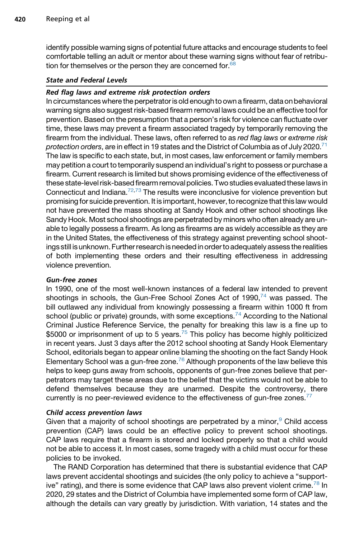identify possible warning signs of potential future attacks and encourage students to feel comfortable telling an adult or mentor about these warning signs without fear of retribution for themselves or the person they are concerned for. $68$ 

# State and Federal Levels

## Red flag laws and extreme risk protection orders

In circumstances where the perpetrator is old enough to own afirearm, data on behavioral warning signs also suggest risk-based firearm removal laws could be an effective tool for prevention. Based on the presumption that a person's risk for violence can fluctuate over time, these laws may prevent a firearm associated tragedy by temporarily removing the firearm from the individual. These laws, often referred to as *red flag laws* or *extreme risk protection orders*, are in effect in 19 states and the District of Columbia as of July 2020.[71](#page-13-7) The law is specific to each state, but, in most cases, law enforcement or family members may petition a court to temporarily suspend an individual's right to possess or purchase a firearm. Current research is limited but shows promising evidence of the effectiveness of these state-level risk-based firearm removal policies. Two studies evaluated these laws in Connecticut and Indiana.<sup>[72,](#page-13-8)[73](#page-13-9)</sup> The results were inconclusive for violence prevention but promising for suicide prevention. It is important, however, to recognize that this law would not have prevented the mass shooting at Sandy Hook and other school shootings like Sandy Hook. Most school shootings are perpetrated by minors who often already are unable to legally possess a firearm. As long as firearms are as widely accessible as they are in the United States, the effectiveness of this strategy against preventing school shootings still is unknown. Further research is needed in order to adequately assess the realities of both implementing these orders and their resulting effectiveness in addressing violence prevention.

#### Gun-free zones

In 1990, one of the most well-known instances of a federal law intended to prevent shootings in schools, the Gun-Free School Zones Act of 1990, $74$  was passed. The bill outlawed any individual from knowingly possessing a firearm within 1000 ft from school (public or private) grounds, with some exceptions.<sup>[74](#page-13-10)</sup> According to the National Criminal Justice Reference Service, the penalty for breaking this law is a fine up to \$5000 or imprisonment of up to 5 years. $75$  This policy has become highly politicized in recent years. Just 3 days after the 2012 school shooting at Sandy Hook Elementary School, editorials began to appear online blaming the shooting on the fact Sandy Hook Elementary School was a gun-free zone.<sup>[76](#page-13-12)</sup> Although proponents of the law believe this helps to keep guns away from schools, opponents of gun-free zones believe that perpetrators may target these areas due to the belief that the victims would not be able to defend themselves because they are unarmed. Despite the controversy, there currently is no peer-reviewed evidence to the effectiveness of gun-free zones.<sup>[77](#page-13-13)</sup>

#### Child access prevention laws

Given that a majority of school shootings are perpetrated by a minor,  $9$  Child access prevention (CAP) laws could be an effective policy to prevent school shootings. CAP laws require that a firearm is stored and locked properly so that a child would not be able to access it. In most cases, some tragedy with a child must occur for these policies to be invoked.

The RAND Corporation has determined that there is substantial evidence that CAP laws prevent accidental shootings and suicides (the only policy to achieve a "support-ive" rating), and there is some evidence that CAP laws also prevent violent crime.<sup>[78](#page-13-14)</sup> In 2020, 29 states and the District of Columbia have implemented some form of CAP law, although the details can vary greatly by jurisdiction. With variation, 14 states and the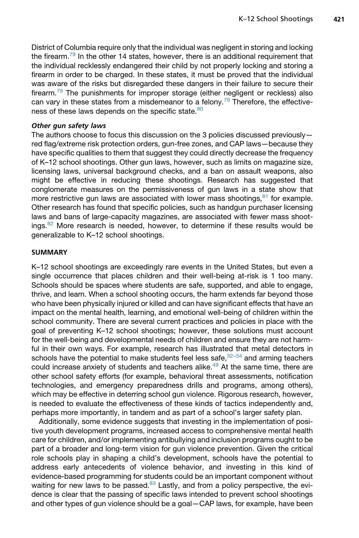District of Columbia require only that the individual was negligent in storing and locking the firearm.<sup>[79](#page-13-15)</sup> In the other 14 states, however, there is an additional requirement that the individual recklessly endangered their child by not properly locking and storing a firearm in order to be charged. In these states, it must be proved that the individual was aware of the risks but disregarded these dangers in their failure to secure their firearm.<sup>[79](#page-13-15)</sup> The punishments for improper storage (either negligent or reckless) also can vary in these states from a misdemeanor to a felony.<sup>[79](#page-13-15)</sup> Therefore, the effective-ness of these laws depends on the specific state.<sup>[80](#page-13-16)</sup>

#### Other gun safety laws

The authors choose to focus this discussion on the 3 policies discussed previously red flag/extreme risk protection orders, gun-free zones, and CAP laws—because they have specific qualities to them that suggest they could directly decrease the frequency of K–12 school shootings. Other gun laws, however, such as limits on magazine size, licensing laws, universal background checks, and a ban on assault weapons, also might be effective in reducing these shootings. Research has suggested that conglomerate measures on the permissiveness of gun laws in a state show that more restrictive gun laws are associated with lower mass shootings,  $81$  for example. Other research has found that specific policies, such as handgun purchaser licensing laws and bans of large-capacity magazines, are associated with fewer mass shoot-ings.<sup>[82](#page-13-18)</sup> More research is needed, however, to determine if these results would be generalizable to K–12 school shootings.

## **SUMMARY**

K–12 school shootings are exceedingly rare events in the United States, but even a single occurrence that places children and their well-being at-risk is 1 too many. Schools should be spaces where students are safe, supported, and able to engage, thrive, and learn. When a school shooting occurs, the harm extends far beyond those who have been physically injured or killed and can have significant effects that have an impact on the mental health, learning, and emotional well-being of children within the school community. There are several current practices and policies in place with the goal of preventing K–12 school shootings; however, these solutions must account for the well-being and developmental needs of children and ensure they are not harmful in their own ways. For example, research has illustrated that metal detectors in schools have the potential to make students feel less safe,  $32-34$  and arming teachers could increase anxiety of students and teachers alike.<sup>[49](#page-12-3)</sup> At the same time, there are other school safety efforts (for example, behavioral threat assessments, notification technologies, and emergency preparedness drills and programs, among others), which may be effective in deterring school gun violence. Rigorous research, however, is needed to evaluate the effectiveness of these kinds of tactics independently and, perhaps more importantly, in tandem and as part of a school's larger safety plan.

Additionally, some evidence suggests that investing in the implementation of positive youth development programs, increased access to comprehensive mental health care for children, and/or implementing antibullying and inclusion programs ought to be part of a broader and long-term vision for gun violence prevention. Given the critical role schools play in shaping a child's development, schools have the potential to address early antecedents of violence behavior, and investing in this kind of evidence-based programming for students could be an important component without waiting for new laws to be passed. $83$  Lastly, and from a policy perspective, the evidence is clear that the passing of specific laws intended to prevent school shootings and other types of gun violence should be a goal—CAP laws, for example, have been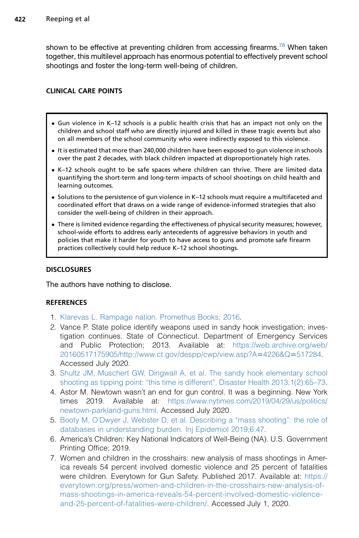shown to be effective at preventing children from accessing firearms.<sup>[78](#page-13-14)</sup> When taken together, this multilevel approach has enormous potential to effectively prevent school shootings and foster the long-term well-being of children.

# CLINICAL CARE POINTS

- Gun violence in K–12 schools is a public health crisis that has an impact not only on the children and school staff who are directly injured and killed in these tragic events but also on all members of the school community who were indirectly exposed to this violence.
- It is estimated that more than 240,000 children have been exposed to gun violence in schools over the past 2 decades, with black children impacted at disproportionately high rates.
- K–12 schools ought to be safe spaces where children can thrive. There are limited data quantifying the short-term and long-term impacts of school shootings on child health and learning outcomes.
- Solutions to the persistence of gun violence in K-12 schools must require a multifaceted and coordinated effort that draws on a wide range of evidence-informed strategies that also consider the well-being of children in their approach.
- There is limited evidence regarding the effectiveness of physical security measures; however, school-wide efforts to address early antecedents of aggressive behaviors in youth and policies that make it harder for youth to have access to guns and promote safe firearm practices collectively could help reduce K–12 school shootings.

# **DISCLOSURES**

The authors have nothing to disclose.

# **REFERENCES**

- <span id="page-9-0"></span>1. [Klarevas L. Rampage nation. Promethus Books; 2016](http://refhub.elsevier.com/S0031-3955(20)30177-2/sref1).
- <span id="page-9-1"></span>2. Vance P. State police identify weapons used in sandy hook investigation; investigation continues. State of Connecticut. Department of Emergency Services and Public Protection; 2013. Available at: [https://web.archive.org/web/](https://web.archive.org/web/20160517175905/http://www.ct.gov/despp/cwp/view.asp?A=4226&Q=517284) [20160517175905/http://www.ct.gov/despp/cwp/view.asp?A](https://web.archive.org/web/20160517175905/http://www.ct.gov/despp/cwp/view.asp?A=4226&Q=517284)=4226&Q=517284. Accessed July 2020.
- <span id="page-9-2"></span>3. [Shultz JM, Muschert GW, Dingwall A, et al. The sandy hook elementary school](http://refhub.elsevier.com/S0031-3955(20)30177-2/sref3) [shooting as tipping point: "this time is different". Disaster Health 2013;1\(2\):65–73.](http://refhub.elsevier.com/S0031-3955(20)30177-2/sref3)
- <span id="page-9-3"></span>4. Astor M. Newtown wasn't an end for gun control. It was a beginning. New York times 2019. Available at: [https://www.nytimes.com/2019/04/29/us/politics/](https://www.nytimes.com/2019/04/29/us/politics/newtown-parkland-guns.html) [newtown-parkland-guns.html](https://www.nytimes.com/2019/04/29/us/politics/newtown-parkland-guns.html). Accessed July 2020.
- <span id="page-9-4"></span>5. [Booty M, O'Dwyer J, Webster D, et al. Describing a "mass shooting": the role of](http://refhub.elsevier.com/S0031-3955(20)30177-2/sref5) [databases in understanding burden. Inj Epidemiol 2019;6:47.](http://refhub.elsevier.com/S0031-3955(20)30177-2/sref5)
- <span id="page-9-5"></span>6. America's Children: Key National Indicators of Well-Being (NA). U.S. Government Printing Office; 2019.
- <span id="page-9-6"></span>7. Women and children in the crosshairs: new analysis of mass shootings in America reveals 54 percent involved domestic violence and 25 percent of fatalities were children. Everytown for Gun Safety. Published 2017. Available at: [https://](https://everytown.org/press/women-and-children-in-the-crosshairs-new-analysis-of-mass-shootings-in-america-reveals-54-percent-involved-domestic-violence-and-25-percent-of-fatalities-were-children/) [everytown.org/press/women-and-children-in-the-crosshairs-new-analysis-of](https://everytown.org/press/women-and-children-in-the-crosshairs-new-analysis-of-mass-shootings-in-america-reveals-54-percent-involved-domestic-violence-and-25-percent-of-fatalities-were-children/)[mass-shootings-in-america-reveals-54-percent-involved-domestic-violence](https://everytown.org/press/women-and-children-in-the-crosshairs-new-analysis-of-mass-shootings-in-america-reveals-54-percent-involved-domestic-violence-and-25-percent-of-fatalities-were-children/)[and-25-percent-of-fatalities-were-children/.](https://everytown.org/press/women-and-children-in-the-crosshairs-new-analysis-of-mass-shootings-in-america-reveals-54-percent-involved-domestic-violence-and-25-percent-of-fatalities-were-children/) Accessed July 1, 2020.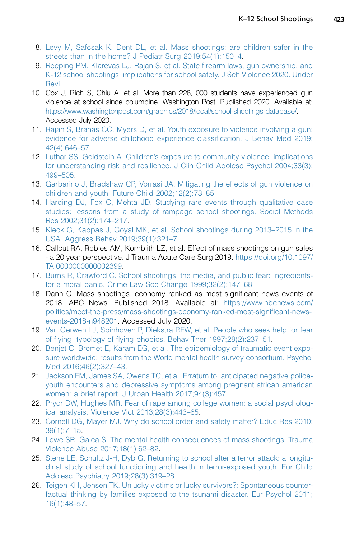- <span id="page-10-0"></span>8. [Levy M, Safcsak K, Dent DL, et al. Mass shootings: are children safer in the](http://refhub.elsevier.com/S0031-3955(20)30177-2/sref8) [streets than in the home? J Pediatr Surg 2019;54\(1\):150–4.](http://refhub.elsevier.com/S0031-3955(20)30177-2/sref8)
- <span id="page-10-1"></span>9. [Reeping PM, Klarevas LJ, Rajan S, et al. State firearm laws, gun ownership, and](http://refhub.elsevier.com/S0031-3955(20)30177-2/sref9) [K-12 school shootings: implications for school safety. J Sch Violence 2020. Under](http://refhub.elsevier.com/S0031-3955(20)30177-2/sref9) [Revi](http://refhub.elsevier.com/S0031-3955(20)30177-2/sref9).
- <span id="page-10-2"></span>10. Cox J, Rich S, Chiu A, et al. More than 228, 000 students have experienced gun violence at school since columbine. Washington Post. Published 2020. Available at: [https://www.washingtonpost.com/graphics/2018/local/school-shootings-database/.](https://www.washingtonpost.com/graphics/2018/local/school-shootings-database/) Accessed July 2020.
- <span id="page-10-3"></span>11. [Rajan S, Branas CC, Myers D, et al. Youth exposure to violence involving a gun:](http://refhub.elsevier.com/S0031-3955(20)30177-2/sref11) [evidence for adverse childhood experience classification. J Behav Med 2019;](http://refhub.elsevier.com/S0031-3955(20)30177-2/sref11) [42\(4\):646–57](http://refhub.elsevier.com/S0031-3955(20)30177-2/sref11).
- <span id="page-10-4"></span>12. [Luthar SS, Goldstein A. Children's exposure to community violence: implications](http://refhub.elsevier.com/S0031-3955(20)30177-2/sref12) [for understanding risk and resilience. J Clin Child Adolesc Psychol 2004;33\(3\):](http://refhub.elsevier.com/S0031-3955(20)30177-2/sref12) [499–505.](http://refhub.elsevier.com/S0031-3955(20)30177-2/sref12)
- <span id="page-10-5"></span>13. [Garbarino J, Bradshaw CP, Vorrasi JA. Mitigating the effects of gun violence on](http://refhub.elsevier.com/S0031-3955(20)30177-2/sref13) [children and youth. Future Child 2002;12\(2\):73–85.](http://refhub.elsevier.com/S0031-3955(20)30177-2/sref13)
- <span id="page-10-6"></span>14. [Harding DJ, Fox C, Mehta JD. Studying rare events through qualitative case](http://refhub.elsevier.com/S0031-3955(20)30177-2/sref14) [studies: lessons from a study of rampage school shootings. Sociol Methods](http://refhub.elsevier.com/S0031-3955(20)30177-2/sref14) [Res 2002;31\(2\):174–217](http://refhub.elsevier.com/S0031-3955(20)30177-2/sref14).
- <span id="page-10-7"></span>15. [Kleck G, Kappas J, Goyal MK, et al. School shootings during 2013–2015 in the](http://refhub.elsevier.com/S0031-3955(20)30177-2/sref15) [USA. Aggress Behav 2019;39\(1\):321–7](http://refhub.elsevier.com/S0031-3955(20)30177-2/sref15).
- <span id="page-10-8"></span>16. Callcut RA, Robles AM, Kornblith LZ, et al. Effect of mass shootings on gun sales - a 20 year perspective. J Trauma Acute Care Surg 2019. [https://doi.org/10.1097/](https://doi.org/10.1097/TA.0000000000002399) [TA.0000000000002399.](https://doi.org/10.1097/TA.0000000000002399)
- <span id="page-10-9"></span>17. [Burns R, Crawford C. School shootings, the media, and public fear: Ingredients](http://refhub.elsevier.com/S0031-3955(20)30177-2/sref17)[for a moral panic. Crime Law Soc Change 1999;32\(2\):147–68](http://refhub.elsevier.com/S0031-3955(20)30177-2/sref17).
- <span id="page-10-10"></span>18. Dann C. Mass shootings, economy ranked as most significant news events of 2018. ABC News. Published 2018. Available at: [https://www.nbcnews.com/](https://www.nbcnews.com/politics/meet-the-press/mass-shootings-economy-ranked-most-significant-news-events-2018-n948201) [politics/meet-the-press/mass-shootings-economy-ranked-most-significant-news](https://www.nbcnews.com/politics/meet-the-press/mass-shootings-economy-ranked-most-significant-news-events-2018-n948201)[events-2018-n948201.](https://www.nbcnews.com/politics/meet-the-press/mass-shootings-economy-ranked-most-significant-news-events-2018-n948201) Accessed July 2020.
- <span id="page-10-11"></span>19. [Van Gerwen LJ, Spinhoven P, Diekstra RFW, et al. People who seek help for fear](http://refhub.elsevier.com/S0031-3955(20)30177-2/sref19) [of flying: typology of flying phobics. Behav Ther 1997;28\(2\):237–51.](http://refhub.elsevier.com/S0031-3955(20)30177-2/sref19)
- <span id="page-10-12"></span>20. [Benjet C, Bromet E, Karam EG, et al. The epidemiology of traumatic event expo](http://refhub.elsevier.com/S0031-3955(20)30177-2/sref20)[sure worldwide: results from the World mental health survey consortium. Psychol](http://refhub.elsevier.com/S0031-3955(20)30177-2/sref20) [Med 2016;46\(2\):327–43.](http://refhub.elsevier.com/S0031-3955(20)30177-2/sref20)
- 21. [Jackson FM, James SA, Owens TC, et al. Erratum to: anticipated negative police](http://refhub.elsevier.com/S0031-3955(20)30177-2/sref21)[youth encounters and depressive symptoms among pregnant african american](http://refhub.elsevier.com/S0031-3955(20)30177-2/sref21) [women: a brief report. J Urban Health 2017;94\(3\):457.](http://refhub.elsevier.com/S0031-3955(20)30177-2/sref21)
- 22. [Pryor DW, Hughes MR. Fear of rape among college women: a social psycholog](http://refhub.elsevier.com/S0031-3955(20)30177-2/sref22)[ical analysis. Violence Vict 2013;28\(3\):443–65](http://refhub.elsevier.com/S0031-3955(20)30177-2/sref22).
- <span id="page-10-13"></span>23. [Cornell DG, Mayer MJ. Why do school order and safety matter? Educ Res 2010;](http://refhub.elsevier.com/S0031-3955(20)30177-2/sref23) [39\(1\):7–15](http://refhub.elsevier.com/S0031-3955(20)30177-2/sref23).
- <span id="page-10-14"></span>24. [Lowe SR, Galea S. The mental health consequences of mass shootings. Trauma](http://refhub.elsevier.com/S0031-3955(20)30177-2/sref24) [Violence Abuse 2017;18\(1\):62–82.](http://refhub.elsevier.com/S0031-3955(20)30177-2/sref24)
- <span id="page-10-15"></span>25. [Stene LE, Schultz J-H, Dyb G. Returning to school after a terror attack: a longitu](http://refhub.elsevier.com/S0031-3955(20)30177-2/sref25)[dinal study of school functioning and health in terror-exposed youth. Eur Child](http://refhub.elsevier.com/S0031-3955(20)30177-2/sref25) [Adolesc Psychiatry 2019;28\(3\):319–28.](http://refhub.elsevier.com/S0031-3955(20)30177-2/sref25)
- <span id="page-10-16"></span>26. [Teigen KH, Jensen TK. Unlucky victims or lucky survivors?: Spontaneous counter](http://refhub.elsevier.com/S0031-3955(20)30177-2/sref26)[factual thinking by families exposed to the tsunami disaster. Eur Psychol 2011;](http://refhub.elsevier.com/S0031-3955(20)30177-2/sref26) [16\(1\):48–57](http://refhub.elsevier.com/S0031-3955(20)30177-2/sref26).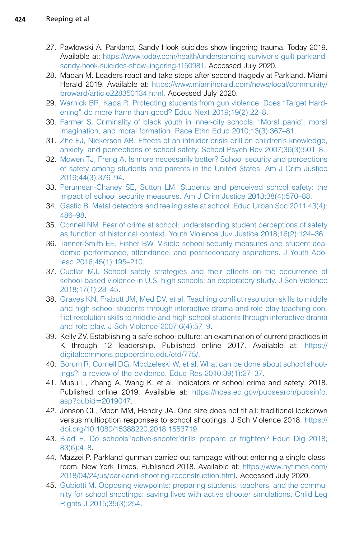- <span id="page-11-0"></span>27. Pawlowski A. Parkland, Sandy Hook suicides show lingering trauma. Today 2019. Available at: [https://www.today.com/health/understanding-survivor-s-guilt-parkland](https://www.today.com/health/understanding-survivor-s-guilt-parkland-sandy-hook-suicides-show-lingering-t150981)[sandy-hook-suicides-show-lingering-t150981.](https://www.today.com/health/understanding-survivor-s-guilt-parkland-sandy-hook-suicides-show-lingering-t150981) Accessed July 2020.
- <span id="page-11-1"></span>28. Madan M. Leaders react and take steps after second tragedy at Parkland. Miami Herald 2019. Available at: [https://www.miamiherald.com/news/local/community/](https://www.miamiherald.com/news/local/community/broward/article228350134.html) [broward/article228350134.html](https://www.miamiherald.com/news/local/community/broward/article228350134.html). Accessed July 2020.
- <span id="page-11-2"></span>29. [Warnick BR, Kapa R. Protecting students from gun violence. Does "Target Hard](http://refhub.elsevier.com/S0031-3955(20)30177-2/sref29)[ening" do more harm than good? Educ Next 2019;19\(2\):22–8](http://refhub.elsevier.com/S0031-3955(20)30177-2/sref29).
- <span id="page-11-3"></span>30. [Farmer S. Criminality of black youth in inner-city schools: "Moral panic", moral](http://refhub.elsevier.com/S0031-3955(20)30177-2/sref30) [imagination, and moral formation. Race Ethn Educ 2010;13\(3\):367–81](http://refhub.elsevier.com/S0031-3955(20)30177-2/sref30).
- <span id="page-11-4"></span>31. [Zhe EJ, Nickerson AB. Effects of an intruder crisis drill on children's knowledge,](http://refhub.elsevier.com/S0031-3955(20)30177-2/sref31) [anxiety, and perceptions of school safety. School Psych Rev 2007;36\(3\):501–8.](http://refhub.elsevier.com/S0031-3955(20)30177-2/sref31)
- <span id="page-11-5"></span>32. [Mowen TJ, Freng A. Is more necessarily better? School security and perceptions](http://refhub.elsevier.com/S0031-3955(20)30177-2/sref32) [of safety among students and parents in the United States. Am J Crim Justice](http://refhub.elsevier.com/S0031-3955(20)30177-2/sref32) [2019;44\(3\):376–94](http://refhub.elsevier.com/S0031-3955(20)30177-2/sref32).
- 33. [Perumean-Chaney SE, Sutton LM. Students and perceived school safety: the](http://refhub.elsevier.com/S0031-3955(20)30177-2/sref33) [impact of school security measures. Am J Crim Justice 2013;38\(4\):570–88](http://refhub.elsevier.com/S0031-3955(20)30177-2/sref33).
- 34. [Gastic B. Metal detectors and feeling safe at school. Educ Urban Soc 2011;43\(4\):](http://refhub.elsevier.com/S0031-3955(20)30177-2/sref34) [486–98.](http://refhub.elsevier.com/S0031-3955(20)30177-2/sref34)
- <span id="page-11-6"></span>35. [Connell NM. Fear of crime at school: understanding student perceptions of safety](http://refhub.elsevier.com/S0031-3955(20)30177-2/sref35) [as function of historical context. Youth Violence Juv Justice 2018;16\(2\):124–36.](http://refhub.elsevier.com/S0031-3955(20)30177-2/sref35)
- <span id="page-11-7"></span>36. [Tanner-Smith EE, Fisher BW. Visible school security measures and student aca](http://refhub.elsevier.com/S0031-3955(20)30177-2/sref36)[demic performance, attendance, and postsecondary aspirations. J Youth Ado](http://refhub.elsevier.com/S0031-3955(20)30177-2/sref36)[lesc 2016;45\(1\):195–210](http://refhub.elsevier.com/S0031-3955(20)30177-2/sref36).
- <span id="page-11-8"></span>37. [Cuellar MJ. School safety strategies and their effects on the occurrence of](http://refhub.elsevier.com/S0031-3955(20)30177-2/sref37) [school-based violence in U.S. high schools: an exploratory study. J Sch Violence](http://refhub.elsevier.com/S0031-3955(20)30177-2/sref37) [2018;17\(1\):28–45](http://refhub.elsevier.com/S0031-3955(20)30177-2/sref37).
- 38. [Graves KN, Frabutt JM, Med DV, et al. Teaching conflict resolution skills to middle](http://refhub.elsevier.com/S0031-3955(20)30177-2/sref38) [and high school students through interactive drama and role play teaching con](http://refhub.elsevier.com/S0031-3955(20)30177-2/sref38)[flict resolution skills to middle and high school students through interactive drama](http://refhub.elsevier.com/S0031-3955(20)30177-2/sref38) [and role play. J Sch Violence 2007;6\(4\):57–9](http://refhub.elsevier.com/S0031-3955(20)30177-2/sref38).
- 39. Kelly ZV. Establishing a safe school culture: an examination of current practices in K through 12 leadership. Published online 2017. Available at: [https://](https://digitalcommons.pepperdine.edu/etd/775/) [digitalcommons.pepperdine.edu/etd/775/](https://digitalcommons.pepperdine.edu/etd/775/).
- <span id="page-11-9"></span>40. [Borum R, Cornell DG, Modzeleski W, et al. What can be done about school shoot](http://refhub.elsevier.com/S0031-3955(20)30177-2/sref40)[ings?: a review of the evidence. Educ Res 2010;39\(1\):27–37](http://refhub.elsevier.com/S0031-3955(20)30177-2/sref40).
- <span id="page-11-10"></span>41. Musu L, Zhang A, Wang K, et al. Indicators of school crime and safety: 2018. Published online 2019. Available at: [https://nces.ed.gov/pubsearch/pubsinfo.](https://nces.ed.gov/pubsearch/pubsinfo.asp?pubid=2019047)  $asp?public = 2019047.$
- <span id="page-11-11"></span>42. Jonson CL, Moon MM, Hendry JA. One size does not fit all: traditional lockdown versus multioption responses to school shootings. J Sch Violence 2018. [https://](https://doi.org/10.1080/15388220.2018.1553719) [doi.org/10.1080/15388220.2018.1553719](https://doi.org/10.1080/15388220.2018.1553719).
- <span id="page-11-13"></span><span id="page-11-12"></span>43. [Blad E. Do schools''active-shooter'drills prepare or frighten? Educ Dig 2018;](http://refhub.elsevier.com/S0031-3955(20)30177-2/sref43) [83\(6\):4–8](http://refhub.elsevier.com/S0031-3955(20)30177-2/sref43).
- 44. Mazzei P. Parkland gunman carried out rampage without entering a single classroom. New York Times. Published 2018. Available at: [https://www.nytimes.com/](https://www.nytimes.com/2018/04/24/us/parkland-shooting-reconstruction.html) [2018/04/24/us/parkland-shooting-reconstruction.html](https://www.nytimes.com/2018/04/24/us/parkland-shooting-reconstruction.html). Accessed July 2020.
- <span id="page-11-14"></span>45. [Gubiotti M. Opposing viewpoints: preparing students, teachers, and the commu](http://refhub.elsevier.com/S0031-3955(20)30177-2/sref45)[nity for school shootings: saving lives with active shooter simulations. Child Leg](http://refhub.elsevier.com/S0031-3955(20)30177-2/sref45) [Rights J 2015;35\(3\):254.](http://refhub.elsevier.com/S0031-3955(20)30177-2/sref45)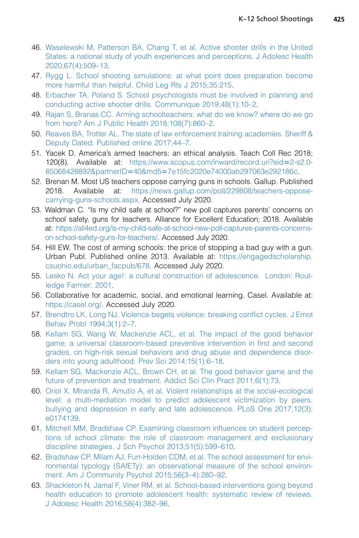- <span id="page-12-0"></span>46. [Waselewski M, Patterson BA, Chang T, et al. Active shooter drills in the United](http://refhub.elsevier.com/S0031-3955(20)30177-2/sref46) [States: a national study of youth experiences and perceptions. J Adolesc Health](http://refhub.elsevier.com/S0031-3955(20)30177-2/sref46) [2020;67\(4\):509–13.](http://refhub.elsevier.com/S0031-3955(20)30177-2/sref46)
- <span id="page-12-1"></span>47. [Rygg L. School shooting simulations: at what point does preparation become](http://refhub.elsevier.com/S0031-3955(20)30177-2/sref47) [more harmful than helpful. Child Leg Rts J 2015;35:215.](http://refhub.elsevier.com/S0031-3955(20)30177-2/sref47)
- <span id="page-12-2"></span>48. [Erbacher TA, Poland S. School psychologists must be involved in planning and](http://refhub.elsevier.com/S0031-3955(20)30177-2/sref48) [conducting active shooter drills. Communique 2019;48\(1\):10–2](http://refhub.elsevier.com/S0031-3955(20)30177-2/sref48).
- <span id="page-12-3"></span>49. [Rajan S, Branas CC. Arming schoolteachers: what do we know? where do we go](http://refhub.elsevier.com/S0031-3955(20)30177-2/sref49) [from here? Am J Public Health 2018;108\(7\):860–2](http://refhub.elsevier.com/S0031-3955(20)30177-2/sref49).
- <span id="page-12-4"></span>50. [Reaves BA, Trotter AL. The state of law enforcement training academies. Sheriff &](http://refhub.elsevier.com/S0031-3955(20)30177-2/sref50) [Deputy Dated. Published online 2017;44–7.](http://refhub.elsevier.com/S0031-3955(20)30177-2/sref50)
- <span id="page-12-5"></span>51. Yacek D. America's armed teachers: an ethical analysis. Teach Coll Rec 2018; 120(8). Available at: [https://www.scopus.com/inward/record.uri?eid](https://www.scopus.com/inward/record.uri?eid=2-s2.0-85068428892&partnerID=40&md5=7e15fc2020e74000ab297063e292186c)=2-s2.0-85068428892&partnerID=40&md5=[7e15fc2020e74000ab297063e292186c](https://www.scopus.com/inward/record.uri?eid=2-s2.0-85068428892&partnerID=40&md5=7e15fc2020e74000ab297063e292186c).
- <span id="page-12-6"></span>52. Brenan M. Most US teachers oppose carrying guns in schools. Gallup. Published 2018. Available at: [https://news.gallup.com/poll/229808/teachers-oppose](https://news.gallup.com/poll/229808/teachers-oppose-carrying-guns-schools.aspx)[carrying-guns-schools.aspx](https://news.gallup.com/poll/229808/teachers-oppose-carrying-guns-schools.aspx). Accessed July 2020.
- <span id="page-12-7"></span>53. Waldman C. "Is my child safe at school?" new poll captures parents' concerns on school safety, guns for teachers. Alliance for Excellent Education; 2018. Available at: [https://all4ed.org/is-my-child-safe-at-school-new-poll-captures-parents-concerns](https://all4ed.org/is-my-child-safe-at-school-new-poll-captures-parents-concerns-on-school-safety-guns-for-teachers/)[on-school-safety-guns-for-teachers/](https://all4ed.org/is-my-child-safe-at-school-new-poll-captures-parents-concerns-on-school-safety-guns-for-teachers/). Accessed July 2020.
- <span id="page-12-8"></span>54. Hill EW. The cost of arming schools: the price of stopping a bad guy with a gun. Urban Publ. Published online 2013. Available at: [https://engagedscholarship.](https://engagedscholarship.csuohio.edu/urban_facpub/678) [csuohio.edu/urban\\_facpub/678](https://engagedscholarship.csuohio.edu/urban_facpub/678). Accessed July 2020.
- <span id="page-12-10"></span><span id="page-12-9"></span>55. [Lesko N. Act your age!: a cultural construction of adolescence. London: Rout](http://refhub.elsevier.com/S0031-3955(20)30177-2/sref55)[ledge Farmer; 2001](http://refhub.elsevier.com/S0031-3955(20)30177-2/sref55).
- <span id="page-12-11"></span>56. Collaborative for academic, social, and emotional learning. Casel. Available at: <https://casel.org/>. Accessed July 2020.
- <span id="page-12-12"></span>57. [Brendtro LK, Long NJ. Violence begets violence: breaking conflict cycles. J Emot](http://refhub.elsevier.com/S0031-3955(20)30177-2/sref57) [Behav Probl 1994;3\(1\):2–7.](http://refhub.elsevier.com/S0031-3955(20)30177-2/sref57)
- 58. [Kellam SG, Wang W, Mackenzie ACL, et al. The impact of the good behavior](http://refhub.elsevier.com/S0031-3955(20)30177-2/sref58) [game, a universal classroom-based preventive intervention in first and second](http://refhub.elsevier.com/S0031-3955(20)30177-2/sref58) [grades, on high-risk sexual behaviors and drug abuse and dependence disor](http://refhub.elsevier.com/S0031-3955(20)30177-2/sref58)[ders into young adulthood. Prev Sci 2014;15\(1\):6–18.](http://refhub.elsevier.com/S0031-3955(20)30177-2/sref58)
- <span id="page-12-14"></span><span id="page-12-13"></span>59. [Kellam SG, Mackenzie ACL, Brown CH, et al. The good behavior game and the](http://refhub.elsevier.com/S0031-3955(20)30177-2/sref59) [future of prevention and treatment. Addict Sci Clin Pract 2011;6\(1\):73](http://refhub.elsevier.com/S0031-3955(20)30177-2/sref59).
- 60. [Oriol X, Miranda R, Amutio A, et al. Violent relationships at the social-ecological](http://refhub.elsevier.com/S0031-3955(20)30177-2/sref60) [level: a multi-mediation model to predict adolescent victimization by peers,](http://refhub.elsevier.com/S0031-3955(20)30177-2/sref60) [bullying and depression in early and late adolescence. PLoS One 2017;12\(3\):](http://refhub.elsevier.com/S0031-3955(20)30177-2/sref60) [e0174139](http://refhub.elsevier.com/S0031-3955(20)30177-2/sref60).
- 61. [Mitchell MM, Bradshaw CP. Examining classroom influences on student percep](http://refhub.elsevier.com/S0031-3955(20)30177-2/sref61)[tions of school climate: the role of classroom management and exclusionary](http://refhub.elsevier.com/S0031-3955(20)30177-2/sref61) [discipline strategies. J Sch Psychol 2013;51\(5\):599–610.](http://refhub.elsevier.com/S0031-3955(20)30177-2/sref61)
- <span id="page-12-15"></span>62. [Bradshaw CP, Milam AJ, Furr-Holden CDM, et al. The school assessment for envi](http://refhub.elsevier.com/S0031-3955(20)30177-2/sref62)[ronmental typology \(SAfETy\): an observational measure of the school environ](http://refhub.elsevier.com/S0031-3955(20)30177-2/sref62)[ment. Am J Community Psychol 2015;56\(3–4\):280–92.](http://refhub.elsevier.com/S0031-3955(20)30177-2/sref62)
- 63. [Shackleton N, Jamal F, Viner RM, et al. School-based interventions going beyond](http://refhub.elsevier.com/S0031-3955(20)30177-2/sref63) [health education to promote adolescent health: systematic review of reviews.](http://refhub.elsevier.com/S0031-3955(20)30177-2/sref63) [J Adolesc Health 2016;58\(4\):382–96.](http://refhub.elsevier.com/S0031-3955(20)30177-2/sref63)